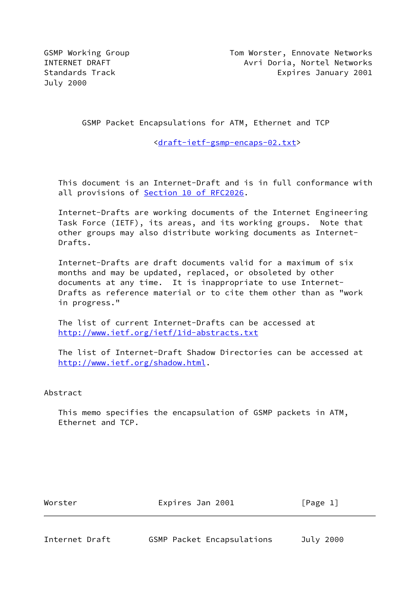July 2000

GSMP Packet Encapsulations for ATM, Ethernet and TCP

[<draft-ietf-gsmp-encaps-02.txt](https://datatracker.ietf.org/doc/pdf/draft-ietf-gsmp-encaps-02.txt)>

 This document is an Internet-Draft and is in full conformance with all provisions of **Section 10 of RFC2026**.

 Internet-Drafts are working documents of the Internet Engineering Task Force (IETF), its areas, and its working groups. Note that other groups may also distribute working documents as Internet- Drafts.

 Internet-Drafts are draft documents valid for a maximum of six months and may be updated, replaced, or obsoleted by other documents at any time. It is inappropriate to use Internet- Drafts as reference material or to cite them other than as "work in progress."

 The list of current Internet-Drafts can be accessed at <http://www.ietf.org/ietf/1id-abstracts.txt>

 The list of Internet-Draft Shadow Directories can be accessed at <http://www.ietf.org/shadow.html>.

Abstract

 This memo specifies the encapsulation of GSMP packets in ATM, Ethernet and TCP.

Worster **Expires Jan 2001** [Page 1]

Internet Draft GSMP Packet Encapsulations July 2000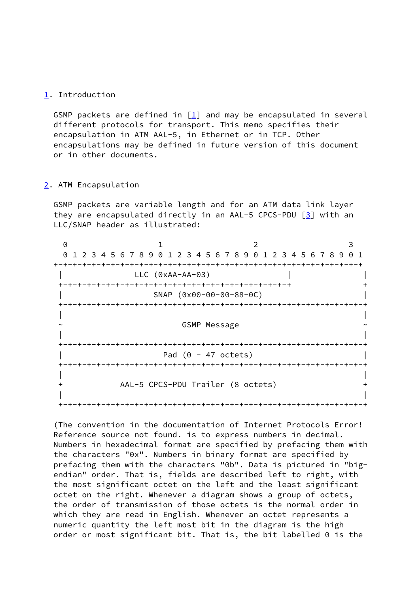# <span id="page-1-0"></span>[1](#page-1-0). Introduction

GSMP packets are defined in  $[\underline{1}]$  and may be encapsulated in several different protocols for transport. This memo specifies their encapsulation in ATM AAL-5, in Ethernet or in TCP. Other encapsulations may be defined in future version of this document or in other documents.

#### <span id="page-1-1"></span>[2](#page-1-1). ATM Encapsulation

 GSMP packets are variable length and for an ATM data link layer they are encapsulated directly in an AAL-5 CPCS-PDU [[3\]](#page-6-1) with an LLC/SNAP header as illustrated:

| 0 1 2 3 4 5 6 7 8 9 0 1 2 3 4 5 6 7 8 9 0 1 2 3 4 5 6 7 8 9 0 1 |                     |  |
|-----------------------------------------------------------------|---------------------|--|
|                                                                 |                     |  |
| $LLC$ ( $0xAA-AA-03$ )                                          |                     |  |
|                                                                 |                     |  |
| SNAP (0x00-00-00-88-0C)                                         |                     |  |
| -+-+-+-+-+-+-+-+-+-+-+-                                         |                     |  |
|                                                                 |                     |  |
|                                                                 | <b>GSMP Message</b> |  |
|                                                                 |                     |  |
|                                                                 |                     |  |
| Pad $(0 - 47$ octets)                                           |                     |  |
|                                                                 |                     |  |
|                                                                 |                     |  |
| AAL-5 CPCS-PDU Trailer (8 octets)                               |                     |  |
|                                                                 |                     |  |
|                                                                 |                     |  |

 (The convention in the documentation of Internet Protocols Error! Reference source not found. is to express numbers in decimal. Numbers in hexadecimal format are specified by prefacing them with the characters "0x". Numbers in binary format are specified by prefacing them with the characters "0b". Data is pictured in "big endian" order. That is, fields are described left to right, with the most significant octet on the left and the least significant octet on the right. Whenever a diagram shows a group of octets, the order of transmission of those octets is the normal order in which they are read in English. Whenever an octet represents a numeric quantity the left most bit in the diagram is the high order or most significant bit. That is, the bit labelled 0 is the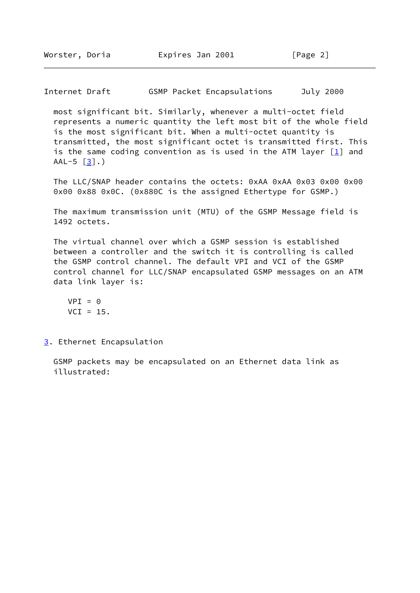Internet Draft GSMP Packet Encapsulations July 2000

 most significant bit. Similarly, whenever a multi-octet field represents a numeric quantity the left most bit of the whole field is the most significant bit. When a multi-octet quantity is transmitted, the most significant octet is transmitted first. This is the same coding convention as is used in the ATM layer  $\lceil \frac{1}{n} \rceil$  and  $AAL-5 [3]$  $AAL-5 [3]$ .)

The LLC/SNAP header contains the octets: 0xAA 0xAA 0x03 0x00 0x00 0x00 0x88 0x0C. (0x880C is the assigned Ethertype for GSMP.)

 The maximum transmission unit (MTU) of the GSMP Message field is 1492 octets.

 The virtual channel over which a GSMP session is established between a controller and the switch it is controlling is called the GSMP control channel. The default VPI and VCI of the GSMP control channel for LLC/SNAP encapsulated GSMP messages on an ATM data link layer is:

```
VPI = 0VCI = 15.
```
<span id="page-2-0"></span>[3](#page-2-0). Ethernet Encapsulation

 GSMP packets may be encapsulated on an Ethernet data link as illustrated: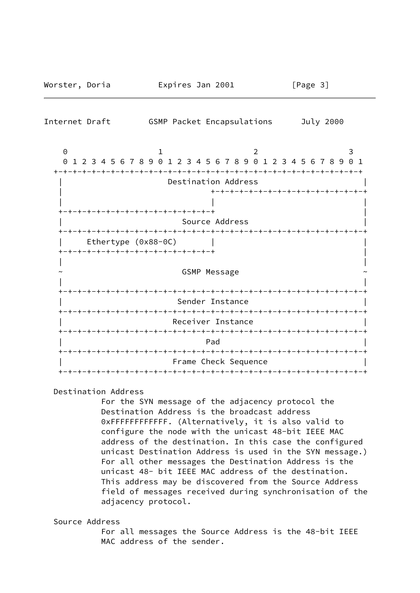| Internet Draft                                           | GSMP Packet Encapsulations | July 2000                                                          |
|----------------------------------------------------------|----------------------------|--------------------------------------------------------------------|
| $\Theta$<br>$\Theta$                                     |                            | 3<br>1 2 3 4 5 6 7 8 9 0 1 2 3 4 5 6 7 8 9 0 1 2 3 4 5 6 7 8 9 0 1 |
|                                                          | Destination Address        | +-+-+-+-+-+-+-+-+-+-+-+-+-+-+-+-+-                                 |
| ·+-+-+-+-+-+-+-+-+-+-+-+-+-+-+-+-                        |                            |                                                                    |
|                                                          | Source Address             |                                                                    |
| Ethertype (0x88-0C)<br>-+-+-+-+-+-+-+-+-+-+-+-+-+-+-+-+- |                            |                                                                    |
|                                                          | <b>GSMP Message</b>        |                                                                    |
|                                                          |                            |                                                                    |
|                                                          | Sender Instance            |                                                                    |
|                                                          | Receiver Instance          |                                                                    |
|                                                          | Pad                        |                                                                    |
|                                                          | Frame Check Sequence       |                                                                    |

Worster, Doria Expires Jan 2001 [Page 3]

# Destination Address

 For the SYN message of the adjacency protocol the Destination Address is the broadcast address 0xFFFFFFFFFFFF. (Alternatively, it is also valid to configure the node with the unicast 48-bit IEEE MAC address of the destination. In this case the configured unicast Destination Address is used in the SYN message.) For all other messages the Destination Address is the unicast 48- bit IEEE MAC address of the destination. This address may be discovered from the Source Address field of messages received during synchronisation of the adjacency protocol.

### Source Address

 For all messages the Source Address is the 48-bit IEEE MAC address of the sender.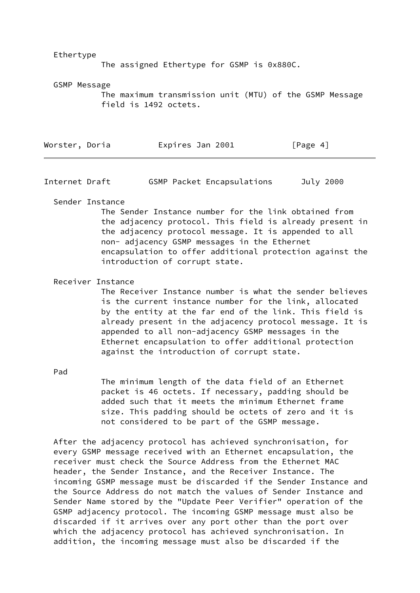Ethertype

The assigned Ethertype for GSMP is 0x880C.

GSMP Message

 The maximum transmission unit (MTU) of the GSMP Message field is 1492 octets.

| Worster, Doria | Expires Jan 2001 | [Page 4] |
|----------------|------------------|----------|
|                |                  |          |

Internet Draft GSMP Packet Encapsulations July 2000

Sender Instance

 The Sender Instance number for the link obtained from the adjacency protocol. This field is already present in the adjacency protocol message. It is appended to all non- adjacency GSMP messages in the Ethernet encapsulation to offer additional protection against the introduction of corrupt state.

Receiver Instance

 The Receiver Instance number is what the sender believes is the current instance number for the link, allocated by the entity at the far end of the link. This field is already present in the adjacency protocol message. It is appended to all non-adjacency GSMP messages in the Ethernet encapsulation to offer additional protection against the introduction of corrupt state.

Pad

 The minimum length of the data field of an Ethernet packet is 46 octets. If necessary, padding should be added such that it meets the minimum Ethernet frame size. This padding should be octets of zero and it is not considered to be part of the GSMP message.

 After the adjacency protocol has achieved synchronisation, for every GSMP message received with an Ethernet encapsulation, the receiver must check the Source Address from the Ethernet MAC header, the Sender Instance, and the Receiver Instance. The incoming GSMP message must be discarded if the Sender Instance and the Source Address do not match the values of Sender Instance and Sender Name stored by the "Update Peer Verifier" operation of the GSMP adjacency protocol. The incoming GSMP message must also be discarded if it arrives over any port other than the port over which the adjacency protocol has achieved synchronisation. In addition, the incoming message must also be discarded if the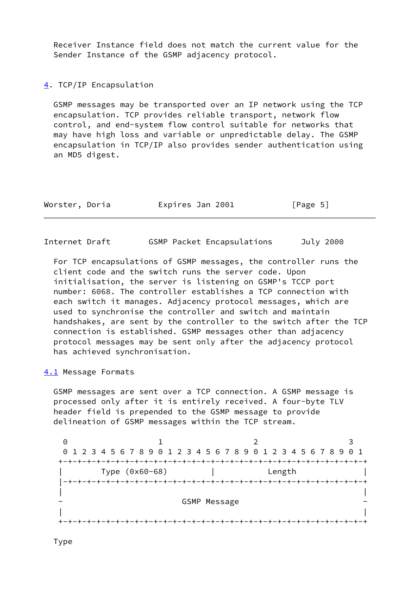Receiver Instance field does not match the current value for the Sender Instance of the GSMP adjacency protocol.

<span id="page-5-0"></span>[4](#page-5-0). TCP/IP Encapsulation

 GSMP messages may be transported over an IP network using the TCP encapsulation. TCP provides reliable transport, network flow control, and end-system flow control suitable for networks that may have high loss and variable or unpredictable delay. The GSMP encapsulation in TCP/IP also provides sender authentication using an MD5 digest.

| Worster, Doria<br>Expires Jan 2001 | [Page 5] |
|------------------------------------|----------|
|------------------------------------|----------|

Internet Draft GSMP Packet Encapsulations July 2000

 For TCP encapsulations of GSMP messages, the controller runs the client code and the switch runs the server code. Upon initialisation, the server is listening on GSMP's TCCP port number: 6068. The controller establishes a TCP connection with each switch it manages. Adjacency protocol messages, which are used to synchronise the controller and switch and maintain handshakes, are sent by the controller to the switch after the TCP connection is established. GSMP messages other than adjacency protocol messages may be sent only after the adjacency protocol has achieved synchronisation.

<span id="page-5-1"></span>[4.1](#page-5-1) Message Formats

 GSMP messages are sent over a TCP connection. A GSMP message is processed only after it is entirely received. A four-byte TLV header field is prepended to the GSMP message to provide delineation of GSMP messages within the TCP stream.

| 0                     |                |                                                                 |  |
|-----------------------|----------------|-----------------------------------------------------------------|--|
|                       |                | 0 1 2 3 4 5 6 7 8 9 0 1 2 3 4 5 6 7 8 9 0 1 2 3 4 5 6 7 8 9 0 1 |  |
|                       |                |                                                                 |  |
|                       | Type (0x60-68) | Length                                                          |  |
| ーナーナーナーナーナ            |                |                                                                 |  |
|                       |                |                                                                 |  |
| $\tilde{\phantom{a}}$ |                | <b>GSMP Message</b>                                             |  |
|                       |                |                                                                 |  |
|                       |                |                                                                 |  |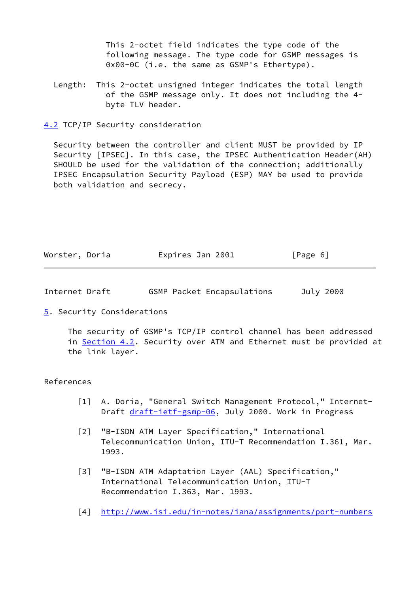This 2-octet field indicates the type code of the following message. The type code for GSMP messages is 0x00-0C (i.e. the same as GSMP's Ethertype).

 Length: This 2-octet unsigned integer indicates the total length of the GSMP message only. It does not including the 4 byte TLV header.

<span id="page-6-2"></span>[4.2](#page-6-2) TCP/IP Security consideration

 Security between the controller and client MUST be provided by IP Security [IPSEC]. In this case, the IPSEC Authentication Header(AH) SHOULD be used for the validation of the connection; additionally IPSEC Encapsulation Security Payload (ESP) MAY be used to provide both validation and secrecy.

| Worster, Doria | Expires Jan 2001 | [Page 6] |
|----------------|------------------|----------|
|----------------|------------------|----------|

| Internet Draft |  | GSMP Packet Encapsulations | July 2000 |
|----------------|--|----------------------------|-----------|
|----------------|--|----------------------------|-----------|

<span id="page-6-3"></span>[5](#page-6-3). Security Considerations

 The security of GSMP's TCP/IP control channel has been addressed in [Section 4.2](#page-6-2). Security over ATM and Ethernet must be provided at the link layer.

#### References

- <span id="page-6-0"></span>[1] A. Doria, "General Switch Management Protocol," Internet-Draft [draft-ietf-gsmp-06,](https://datatracker.ietf.org/doc/pdf/draft-ietf-gsmp-06) July 2000. Work in Progress
- [2] "B-ISDN ATM Layer Specification," International Telecommunication Union, ITU-T Recommendation I.361, Mar. 1993.
- <span id="page-6-1"></span> [3] "B-ISDN ATM Adaptation Layer (AAL) Specification," International Telecommunication Union, ITU-T Recommendation I.363, Mar. 1993.
- [4] <http://www.isi.edu/in-notes/iana/assignments/port-numbers>